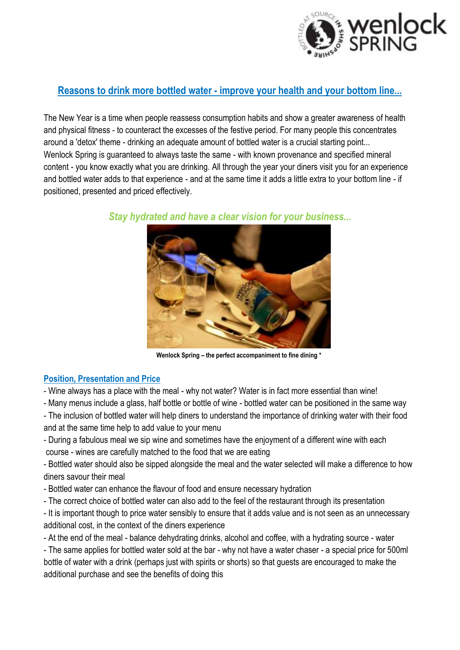

# **Reasons to drink more bottled water - improve your health and your bottom line...**

The New Year is a time when people reassess consumption habits and show a greater awareness of health and physical fitness - to counteract the excesses of the festive period. For many people this concentrates around a 'detox' theme - drinking an adequate amount of bottled water is a crucial starting point... Wenlock Spring is guaranteed to always taste the same - with known provenance and specified mineral content - you know exactly what you are drinking. All through the year your diners visit you for an experience and bottled water adds to that experience - and at the same time it adds a little extra to your bottom line - if positioned, presented and priced effectively.



*Stay hydrated and have a clear vision for your business...*

**Wenlock Spring – the perfect accompaniment to fine dining \***

### **Position, Presentation and Price**

- Wine always has a place with the meal - why not water? Water is in fact more essential than wine!

- Many menus include a glass, half bottle or bottle of wine - bottled water can be positioned in the same way

- The inclusion of bottled water will help diners to understand the importance of drinking water with their food and at the same time help to add value to your menu

- During a fabulous meal we sip wine and sometimes have the enjoyment of a different wine with each course - wines are carefully matched to the food that we are eating

- Bottled water should also be sipped alongside the meal and the water selected will make a difference to how diners savour their meal

- Bottled water can enhance the flavour of food and ensure necessary hydration

- The correct choice of bottled water can also add to the feel of the restaurant through its presentation

- It is important though to price water sensibly to ensure that it adds value and is not seen as an unnecessary additional cost, in the context of the diners experience

- At the end of the meal - balance dehydrating drinks, alcohol and coffee, with a hydrating source - water

- The same applies for bottled water sold at the bar - why not have a water chaser - a special price for 500ml bottle of water with a drink (perhaps just with spirits or shorts) so that guests are encouraged to make the additional purchase and see the benefits of doing this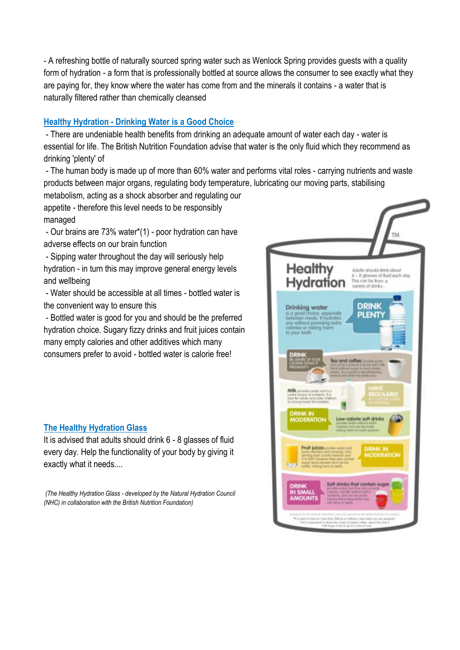- A refreshing bottle of naturally sourced spring water such as Wenlock Spring provides guests with a quality form of hydration - a form that is professionally bottled at source allows the consumer to see exactly what they are paying for, they know where the water has come from and the minerals it contains - a water that is naturally filtered rather than chemically cleansed

#### **Healthy Hydration - Drinking Water is a Good Choice**

- There are undeniable health benefits from drinking an adequate amount of water each day - water is essential for life. The British Nutrition Foundation advise that water is the only fluid which they recommend as drinking 'plenty' of

- The human body is made up of more than 60% water and performs vital roles - carrying nutrients and waste products between major organs, regulating body temperature, lubricating our moving parts, stabilising

metabolism, acting as a shock absorber and regulating our appetite - therefore this level needs to be responsibly managed

- Our brains are 73% water\*(1) - poor hydration can have adverse effects on our brain function

- Sipping water throughout the day will seriously help hydration - in turn this may improve general energy levels and wellbeing

- Water should be accessible at all times - bottled water is the convenient way to ensure this

- Bottled water is good for you and should be the preferred hydration choice. Sugary fizzy drinks and fruit juices contain many empty calories and other additives which many consumers prefer to avoid - bottled water is calorie free!

### **The Healthy Hydration Glass**

It is advised that adults should drink 6 - 8 glasses of fluid every day. Help the functionality of your body by giving it exactly what it needs....

*(The Healthy Hydration Glass - developed by the Natural Hydration Council (NHC) in collaboration with the British Nutrition Foundation)*